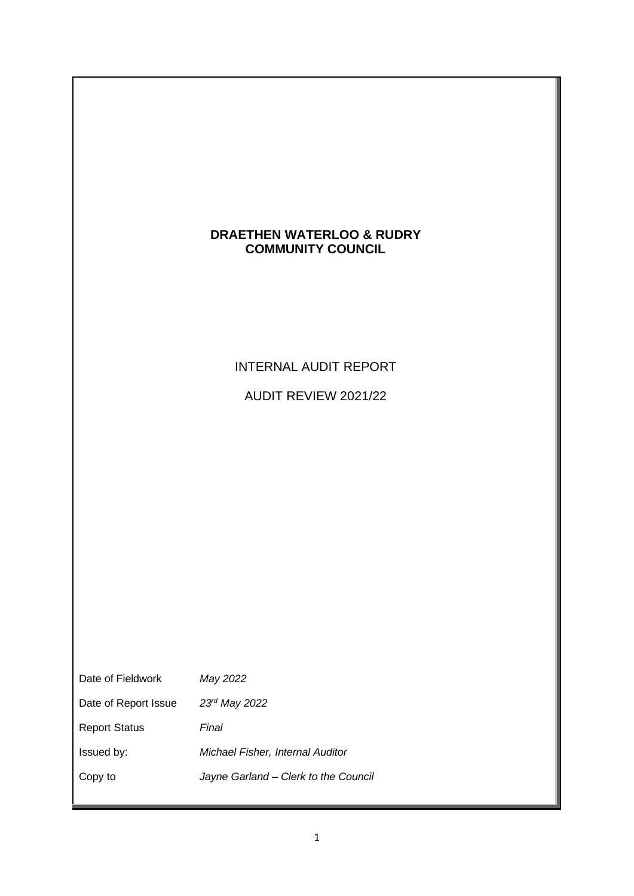## **DRAETHEN WATERLOO & RUDRY COMMUNITY COUNCIL**

# INTERNAL AUDIT REPORT

AUDIT REVIEW 2021/22

| Date of Fieldwork    | May 2022                             |
|----------------------|--------------------------------------|
| Date of Report Issue | $23rd$ May 2022                      |
| <b>Report Status</b> | Final                                |
| Issued by:           | Michael Fisher, Internal Auditor     |
| Copy to              | Jayne Garland – Clerk to the Council |
|                      |                                      |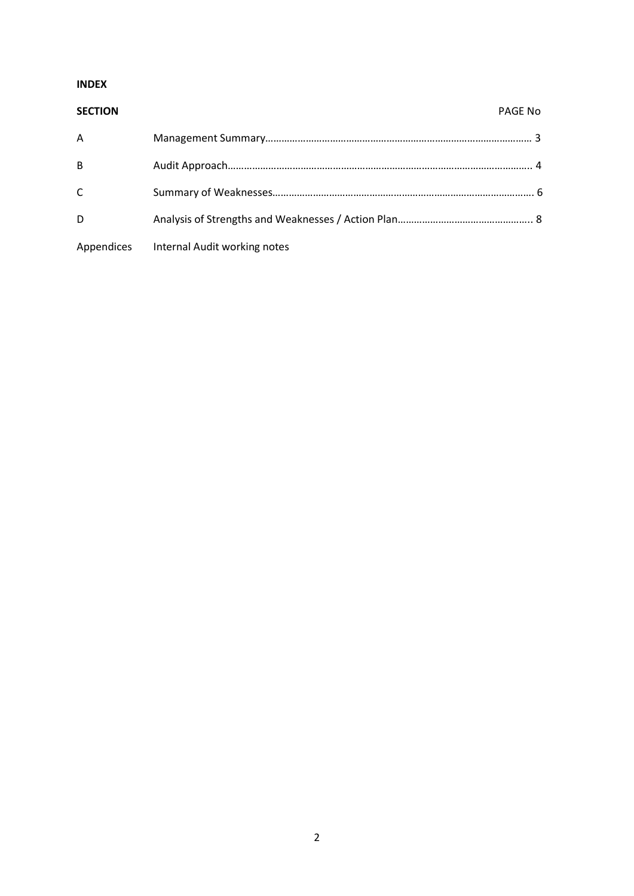## **INDEX**

## **SECTION** PAGE No

| A |                                         |  |
|---|-----------------------------------------|--|
| B |                                         |  |
| C |                                         |  |
| D |                                         |  |
|   | Appendices Internal Audit working notes |  |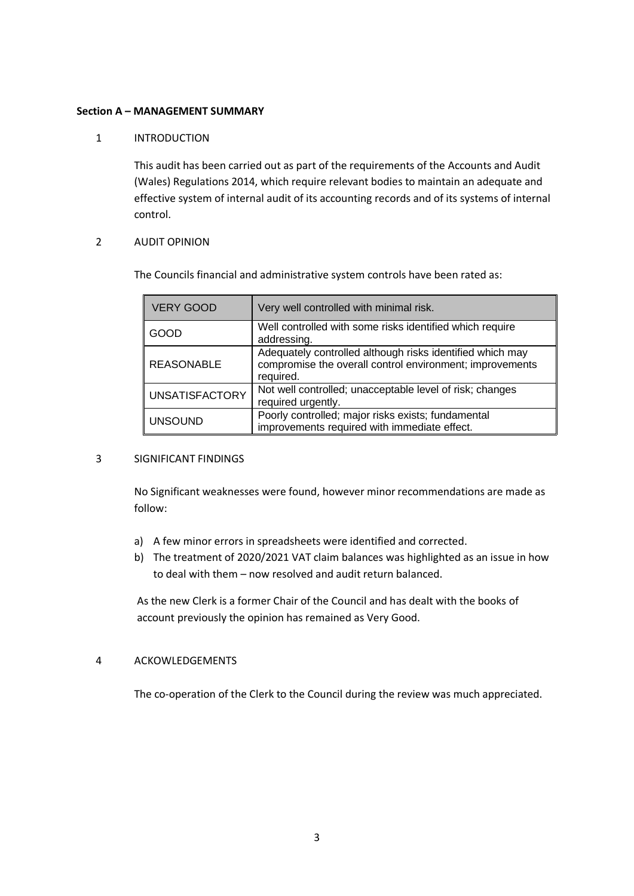## **Section A – MANAGEMENT SUMMARY**

## 1 INTRODUCTION

This audit has been carried out as part of the requirements of the Accounts and Audit (Wales) Regulations 2014, which require relevant bodies to maintain an adequate and effective system of internal audit of its accounting records and of its systems of internal control.

## 2 AUDIT OPINION

The Councils financial and administrative system controls have been rated as:

| <b>VERY GOOD</b>      | Very well controlled with minimal risk.                                                                                            |
|-----------------------|------------------------------------------------------------------------------------------------------------------------------------|
| GOOD                  | Well controlled with some risks identified which require<br>addressing.                                                            |
| <b>REASONABLE</b>     | Adequately controlled although risks identified which may<br>compromise the overall control environment; improvements<br>required. |
| <b>UNSATISFACTORY</b> | Not well controlled; unacceptable level of risk; changes<br>required urgently.                                                     |
| <b>UNSOUND</b>        | Poorly controlled; major risks exists; fundamental<br>improvements required with immediate effect.                                 |

## 3 SIGNIFICANT FINDINGS

No Significant weaknesses were found, however minor recommendations are made as follow:

- a) A few minor errors in spreadsheets were identified and corrected.
- b) The treatment of 2020/2021 VAT claim balances was highlighted as an issue in how to deal with them – now resolved and audit return balanced.

As the new Clerk is a former Chair of the Council and has dealt with the books of account previously the opinion has remained as Very Good.

## 4 ACKOWLEDGEMENTS

The co-operation of the Clerk to the Council during the review was much appreciated.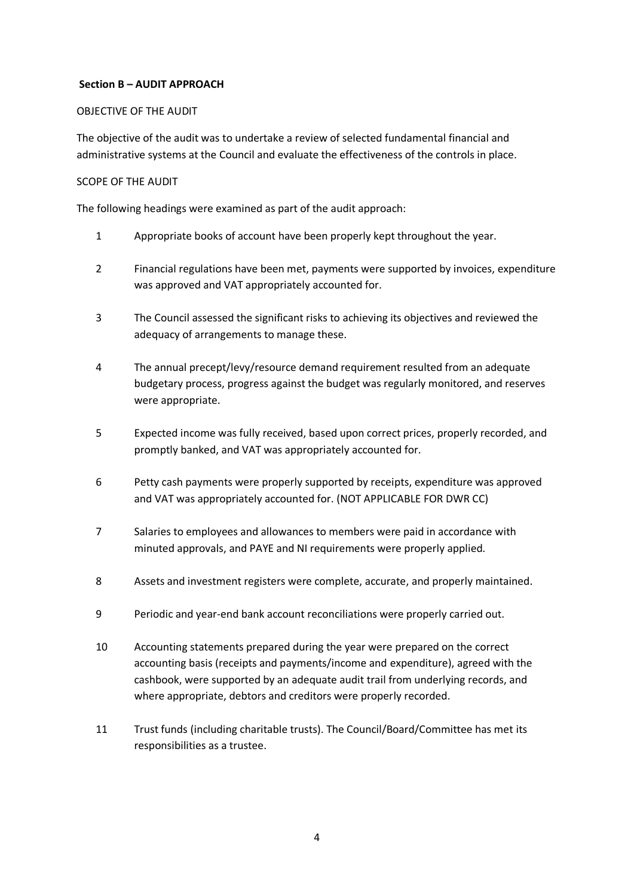## **Section B – AUDIT APPROACH**

## OBJECTIVE OF THE AUDIT

The objective of the audit was to undertake a review of selected fundamental financial and administrative systems at the Council and evaluate the effectiveness of the controls in place.

## SCOPE OF THE AUDIT

The following headings were examined as part of the audit approach:

- 1 Appropriate books of account have been properly kept throughout the year.
- 2 Financial regulations have been met, payments were supported by invoices, expenditure was approved and VAT appropriately accounted for.
- 3 The Council assessed the significant risks to achieving its objectives and reviewed the adequacy of arrangements to manage these.
- 4 The annual precept/levy/resource demand requirement resulted from an adequate budgetary process, progress against the budget was regularly monitored, and reserves were appropriate.
- 5 Expected income was fully received, based upon correct prices, properly recorded, and promptly banked, and VAT was appropriately accounted for.
- 6 Petty cash payments were properly supported by receipts, expenditure was approved and VAT was appropriately accounted for. (NOT APPLICABLE FOR DWR CC)
- 7 Salaries to employees and allowances to members were paid in accordance with minuted approvals, and PAYE and NI requirements were properly applied.
- 8 Assets and investment registers were complete, accurate, and properly maintained.
- 9 Periodic and year-end bank account reconciliations were properly carried out.
- 10 Accounting statements prepared during the year were prepared on the correct accounting basis (receipts and payments/income and expenditure), agreed with the cashbook, were supported by an adequate audit trail from underlying records, and where appropriate, debtors and creditors were properly recorded.
- 11 Trust funds (including charitable trusts). The Council/Board/Committee has met its responsibilities as a trustee.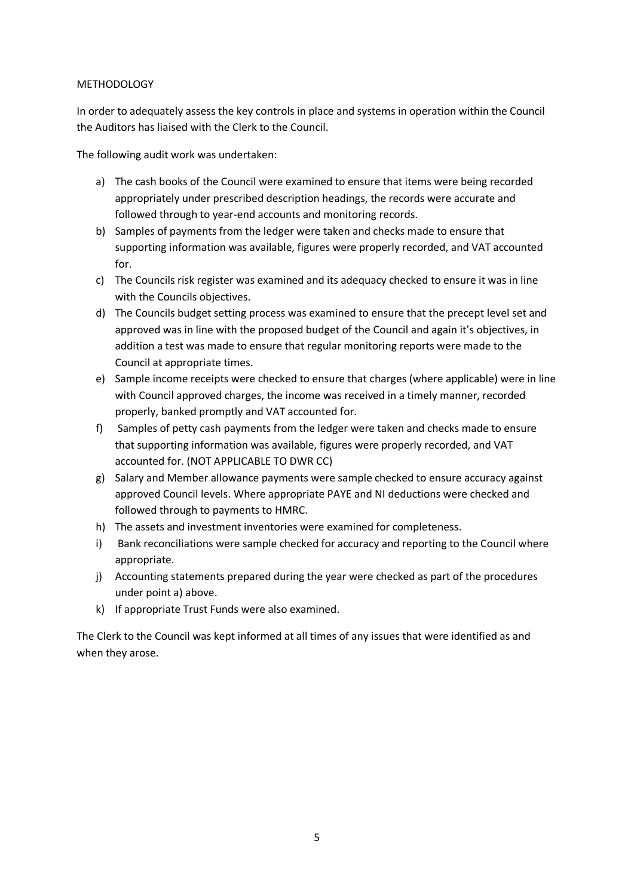## **METHODOLOGY**

In order to adequately assess the key controls in place and systems in operation within the Council the Auditors has liaised with the Clerk to the Council.

The following audit work was undertaken:

- a) The cash books of the Council were examined to ensure that items were being recorded appropriately under prescribed description headings, the records were accurate and followed through to year-end accounts and monitoring records.
- b) Samples of payments from the ledger were taken and checks made to ensure that supporting information was available, figures were properly recorded, and VAT accounted for.
- c) The Councils risk register was examined and its adequacy checked to ensure it was in line with the Councils objectives.
- d) The Councils budget setting process was examined to ensure that the precept level set and approved was in line with the proposed budget of the Council and again it's objectives, in addition a test was made to ensure that regular monitoring reports were made to the Council at appropriate times.
- e) Sample income receipts were checked to ensure that charges (where applicable) were in line with Council approved charges, the income was received in a timely manner, recorded properly, banked promptly and VAT accounted for.
- f) Samples of petty cash payments from the ledger were taken and checks made to ensure that supporting information was available, figures were properly recorded, and VAT accounted for. (NOT APPLICABLE TO DWR CC)
- g) Salary and Member allowance payments were sample checked to ensure accuracy against approved Council levels. Where appropriate PAYE and NI deductions were checked and followed through to payments to HMRC.
- h) The assets and investment inventories were examined for completeness.
- i) Bank reconciliations were sample checked for accuracy and reporting to the Council where appropriate.
- j) Accounting statements prepared during the year were checked as part of the procedures under point a) above.
- k) If appropriate Trust Funds were also examined.

The Clerk to the Council was kept informed at all times of any issues that were identified as and when they arose.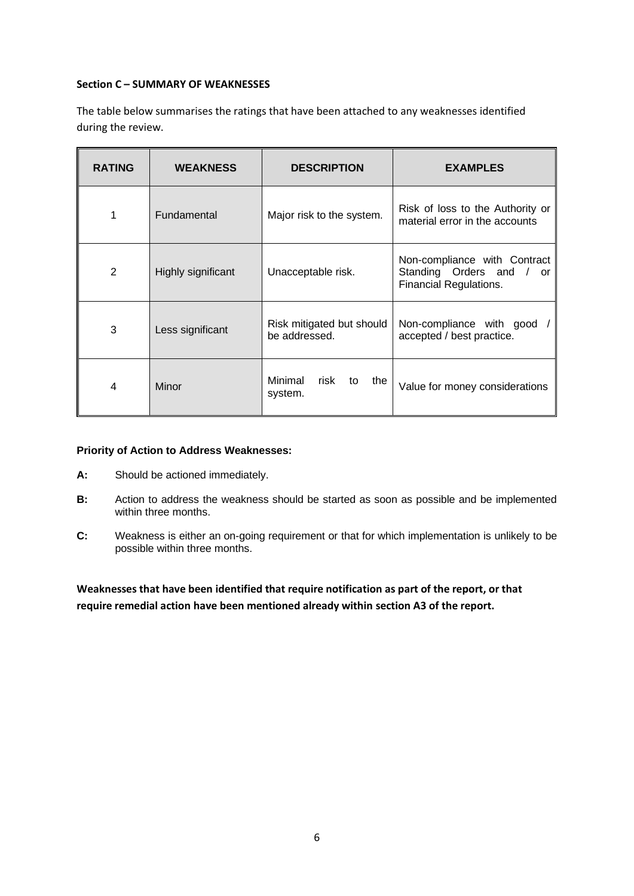## **Section C – SUMMARY OF WEAKNESSES**

The table below summarises the ratings that have been attached to any weaknesses identified during the review.

| <b>RATING</b> | <b>WEAKNESS</b>    | <b>DESCRIPTION</b>                         | <b>EXAMPLES</b>                                                                            |
|---------------|--------------------|--------------------------------------------|--------------------------------------------------------------------------------------------|
| 1             | <b>Fundamental</b> | Major risk to the system.                  | Risk of loss to the Authority or<br>material error in the accounts                         |
| 2             | Highly significant | Unacceptable risk.                         | Non-compliance with Contract<br>Standing Orders and<br>or<br><b>Financial Regulations.</b> |
| 3             | Less significant   | Risk mitigated but should<br>be addressed. | Non-compliance with good<br>accepted / best practice.                                      |
| 4             | Minor              | Minimal<br>risk<br>to<br>the<br>system.    | Value for money considerations                                                             |

## **Priority of Action to Address Weaknesses:**

- **A:** Should be actioned immediately.
- **B:** Action to address the weakness should be started as soon as possible and be implemented within three months.
- **C:** Weakness is either an on-going requirement or that for which implementation is unlikely to be possible within three months.

**Weaknesses that have been identified that require notification as part of the report, or that require remedial action have been mentioned already within section A3 of the report.**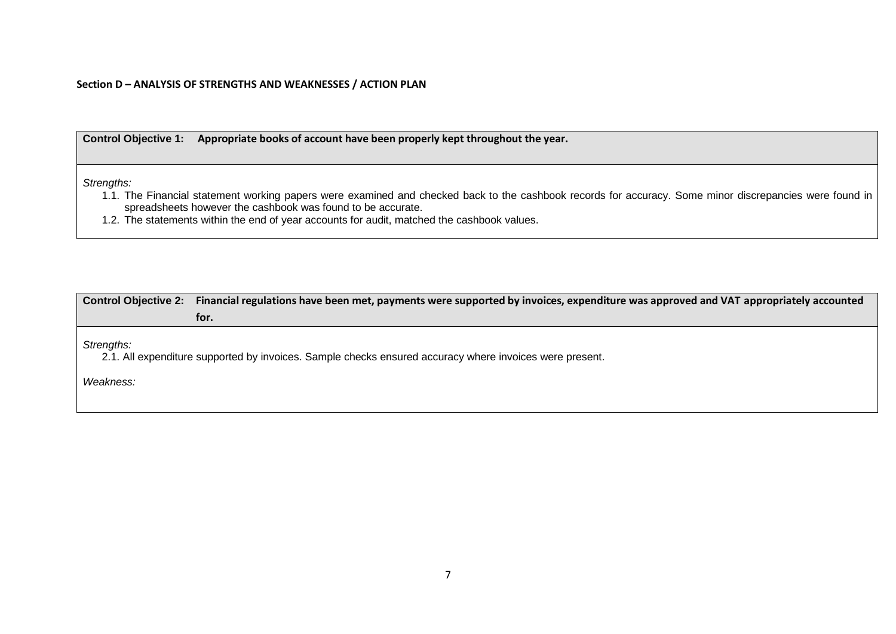#### **Section D – ANALYSIS OF STRENGTHS AND WEAKNESSES / ACTION PLAN**

**Control Objective 1: Appropriate books of account have been properly kept throughout the year.**

*Strengths:*

1.1. The Financial statement working papers were examined and checked back to the cashbook records for accuracy. Some minor discrepancies were found in spreadsheets however the cashbook was found to be accurate.

1.2. The statements within the end of year accounts for audit, matched the cashbook values.

| Control Objective 2: Financial regulations have been met, payments were supported by invoices, expenditure was approved and VAT appropriately accounted |  |
|---------------------------------------------------------------------------------------------------------------------------------------------------------|--|
| tor.                                                                                                                                                    |  |

*Strengths:*

2.1. All expenditure supported by invoices. Sample checks ensured accuracy where invoices were present.

*Weakness:*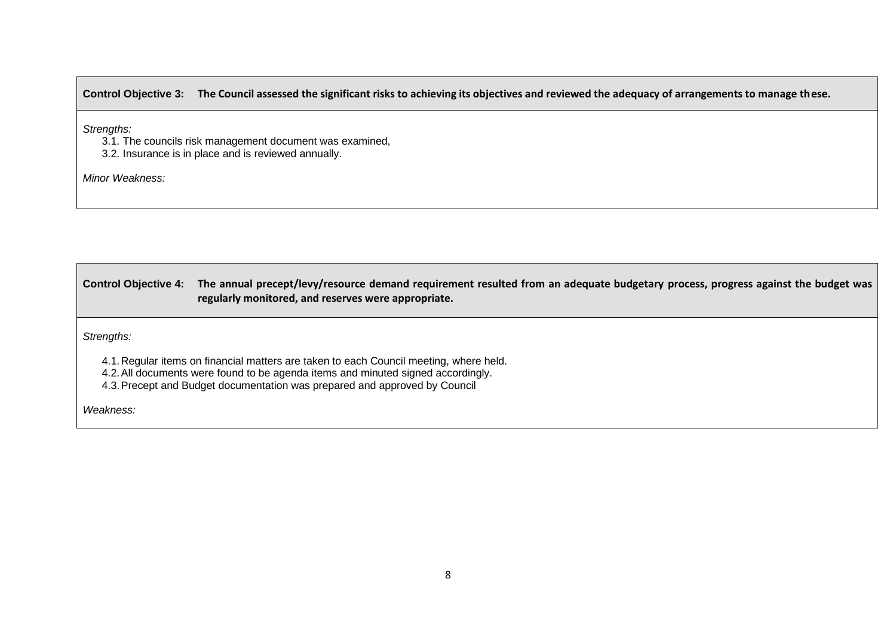## **Control Objective 3: The Council assessed the significant risks to achieving its objectives and reviewed the adequacy of arrangements to manage these.**

*Strengths:*

- 3.1. The councils risk management document was examined,
- 3.2. Insurance is in place and is reviewed annually.

*Minor Weakness:*

**Control Objective 4: The annual precept/levy/resource demand requirement resulted from an adequate budgetary process, progress against the budget was regularly monitored, and reserves were appropriate.**

*Strengths:*

4.1.Regular items on financial matters are taken to each Council meeting, where held.

- 4.2.All documents were found to be agenda items and minuted signed accordingly.
- 4.3.Precept and Budget documentation was prepared and approved by Council

*Weakness:*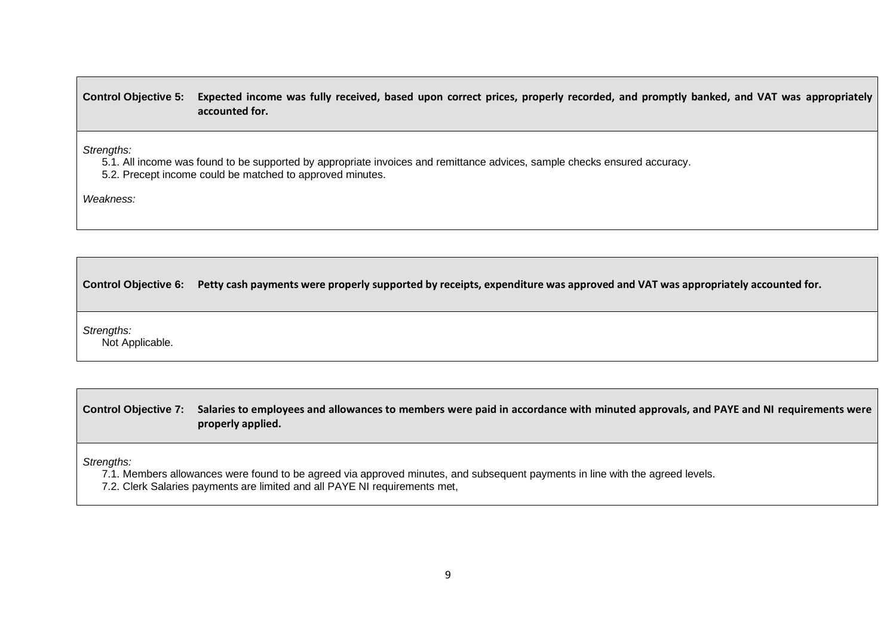**Control Objective 5: Expected income was fully received, based upon correct prices, properly recorded, and promptly banked, and VAT was appropriately accounted for.**

*Strengths:*

5.1. All income was found to be supported by appropriate invoices and remittance advices, sample checks ensured accuracy.

5.2. Precept income could be matched to approved minutes.

*Weakness:*

**Control Objective 6: Petty cash payments were properly supported by receipts, expenditure was approved and VAT was appropriately accounted for.**

*Strengths:*

Not Applicable.

**Control Objective 7: Salaries to employees and allowances to members were paid in accordance with minuted approvals, and PAYE and NI requirements were properly applied.**

*Strengths:*

7.1. Members allowances were found to be agreed via approved minutes, and subsequent payments in line with the agreed levels.

7.2. Clerk Salaries payments are limited and all PAYE NI requirements met,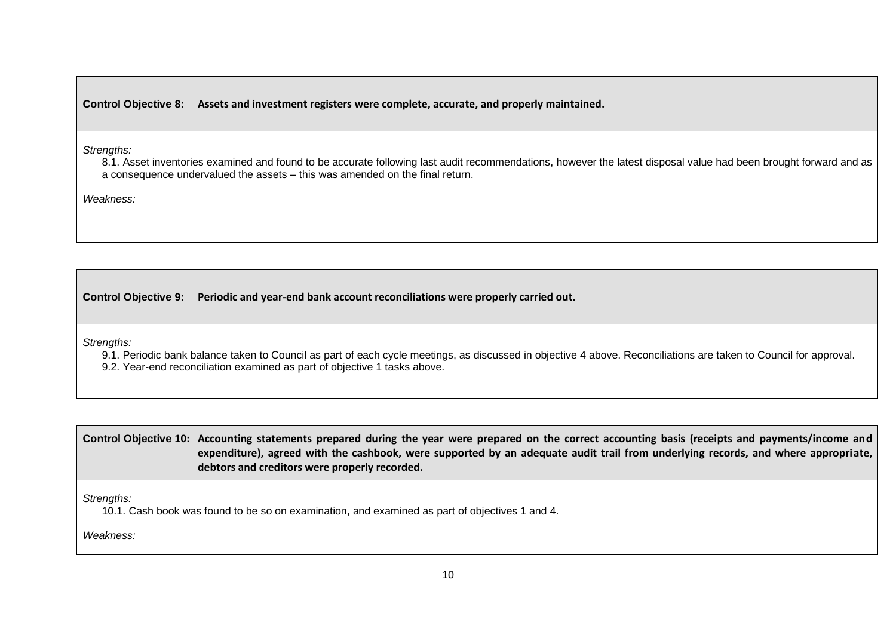**Control Objective 8: Assets and investment registers were complete, accurate, and properly maintained.**

*Strengths:*

8.1. Asset inventories examined and found to be accurate following last audit recommendations, however the latest disposal value had been brought forward and as a consequence undervalued the assets – this was amended on the final return.

*Weakness:*

**Control Objective 9: Periodic and year-end bank account reconciliations were properly carried out.**

*Strengths:*

9.1. Periodic bank balance taken to Council as part of each cycle meetings, as discussed in objective 4 above. Reconciliations are taken to Council for approval.

9.2. Year-end reconciliation examined as part of objective 1 tasks above.

**Control Objective 10: Accounting statements prepared during the year were prepared on the correct accounting basis (receipts and payments/income and expenditure), agreed with the cashbook, were supported by an adequate audit trail from underlying records, and where appropriate, debtors and creditors were properly recorded.**

*Strengths:*

10.1. Cash book was found to be so on examination, and examined as part of objectives 1 and 4.

*Weakness:*